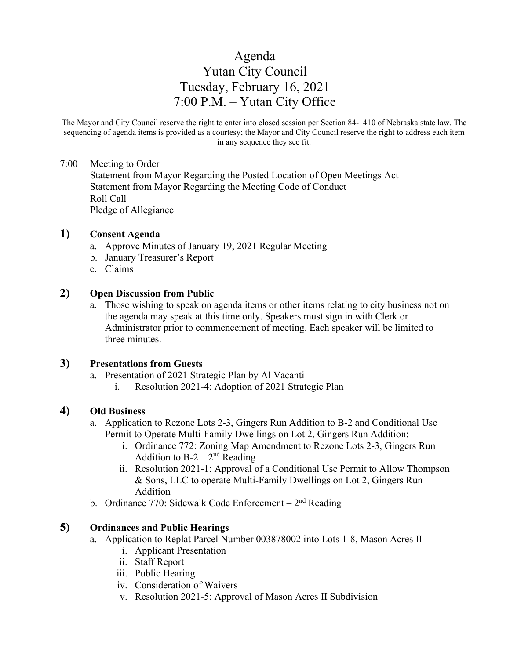# Agenda Yutan City Council Tuesday, February 16, 2021 7:00 P.M. – Yutan City Office

The Mayor and City Council reserve the right to enter into closed session per Section 84-1410 of Nebraska state law. The sequencing of agenda items is provided as a courtesy; the Mayor and City Council reserve the right to address each item in any sequence they see fit.

#### 7:00 Meeting to Order

Statement from Mayor Regarding the Posted Location of Open Meetings Act Statement from Mayor Regarding the Meeting Code of Conduct Roll Call Pledge of Allegiance

#### **1) Consent Agenda**

- a. Approve Minutes of January 19, 2021 Regular Meeting
- b. January Treasurer's Report
- c. Claims

#### **2) Open Discussion from Public**

a. Those wishing to speak on agenda items or other items relating to city business not on the agenda may speak at this time only. Speakers must sign in with Clerk or Administrator prior to commencement of meeting. Each speaker will be limited to three minutes.

#### **3) Presentations from Guests**

- a. Presentation of 2021 Strategic Plan by Al Vacanti
	- i. Resolution 2021-4: Adoption of 2021 Strategic Plan

## **4) Old Business**

- a. Application to Rezone Lots 2-3, Gingers Run Addition to B-2 and Conditional Use Permit to Operate Multi-Family Dwellings on Lot 2, Gingers Run Addition:
	- i. Ordinance 772: Zoning Map Amendment to Rezone Lots 2-3, Gingers Run Addition to  $B-2-2^{nd}$  Reading
	- ii. Resolution 2021-1: Approval of a Conditional Use Permit to Allow Thompson & Sons, LLC to operate Multi-Family Dwellings on Lot 2, Gingers Run Addition
- b. Ordinance 770: Sidewalk Code Enforcement  $2<sup>nd</sup>$  Reading

# **5) Ordinances and Public Hearings**

- a. Application to Replat Parcel Number 003878002 into Lots 1-8, Mason Acres II
	- i. Applicant Presentation
	- ii. Staff Report
	- iii. Public Hearing
	- iv. Consideration of Waivers
	- v. Resolution 2021-5: Approval of Mason Acres II Subdivision